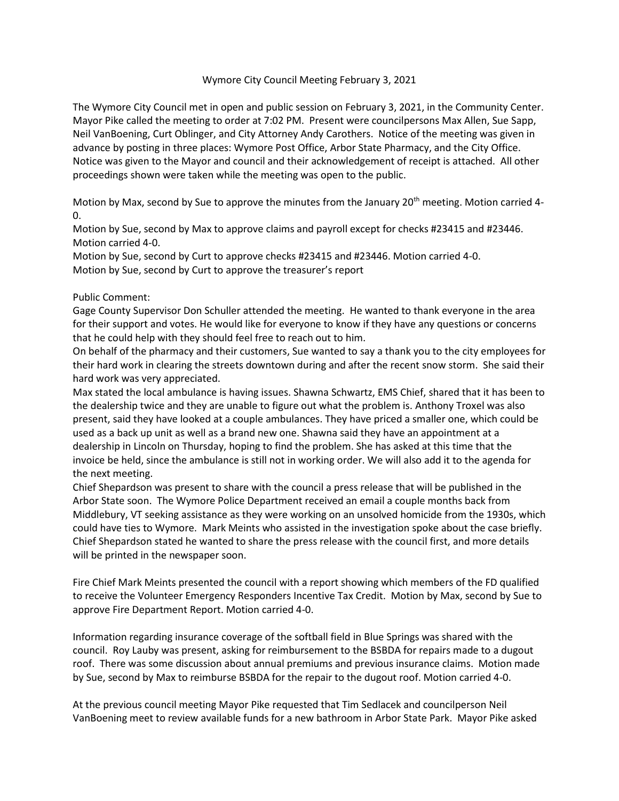## Wymore City Council Meeting February 3, 2021

The Wymore City Council met in open and public session on February 3, 2021, in the Community Center. Mayor Pike called the meeting to order at 7:02 PM. Present were councilpersons Max Allen, Sue Sapp, Neil VanBoening, Curt Oblinger, and City Attorney Andy Carothers. Notice of the meeting was given in advance by posting in three places: Wymore Post Office, Arbor State Pharmacy, and the City Office. Notice was given to the Mayor and council and their acknowledgement of receipt is attached. All other proceedings shown were taken while the meeting was open to the public.

Motion by Max, second by Sue to approve the minutes from the January  $20<sup>th</sup>$  meeting. Motion carried 4-0.

Motion by Sue, second by Max to approve claims and payroll except for checks #23415 and #23446. Motion carried 4-0.

Motion by Sue, second by Curt to approve checks #23415 and #23446. Motion carried 4-0. Motion by Sue, second by Curt to approve the treasurer's report

## Public Comment:

Gage County Supervisor Don Schuller attended the meeting. He wanted to thank everyone in the area for their support and votes. He would like for everyone to know if they have any questions or concerns that he could help with they should feel free to reach out to him.

On behalf of the pharmacy and their customers, Sue wanted to say a thank you to the city employees for their hard work in clearing the streets downtown during and after the recent snow storm. She said their hard work was very appreciated.

Max stated the local ambulance is having issues. Shawna Schwartz, EMS Chief, shared that it has been to the dealership twice and they are unable to figure out what the problem is. Anthony Troxel was also present, said they have looked at a couple ambulances. They have priced a smaller one, which could be used as a back up unit as well as a brand new one. Shawna said they have an appointment at a dealership in Lincoln on Thursday, hoping to find the problem. She has asked at this time that the invoice be held, since the ambulance is still not in working order. We will also add it to the agenda for the next meeting.

Chief Shepardson was present to share with the council a press release that will be published in the Arbor State soon. The Wymore Police Department received an email a couple months back from Middlebury, VT seeking assistance as they were working on an unsolved homicide from the 1930s, which could have ties to Wymore. Mark Meints who assisted in the investigation spoke about the case briefly. Chief Shepardson stated he wanted to share the press release with the council first, and more details will be printed in the newspaper soon.

Fire Chief Mark Meints presented the council with a report showing which members of the FD qualified to receive the Volunteer Emergency Responders Incentive Tax Credit. Motion by Max, second by Sue to approve Fire Department Report. Motion carried 4-0.

Information regarding insurance coverage of the softball field in Blue Springs was shared with the council. Roy Lauby was present, asking for reimbursement to the BSBDA for repairs made to a dugout roof. There was some discussion about annual premiums and previous insurance claims. Motion made by Sue, second by Max to reimburse BSBDA for the repair to the dugout roof. Motion carried 4-0.

At the previous council meeting Mayor Pike requested that Tim Sedlacek and councilperson Neil VanBoening meet to review available funds for a new bathroom in Arbor State Park. Mayor Pike asked